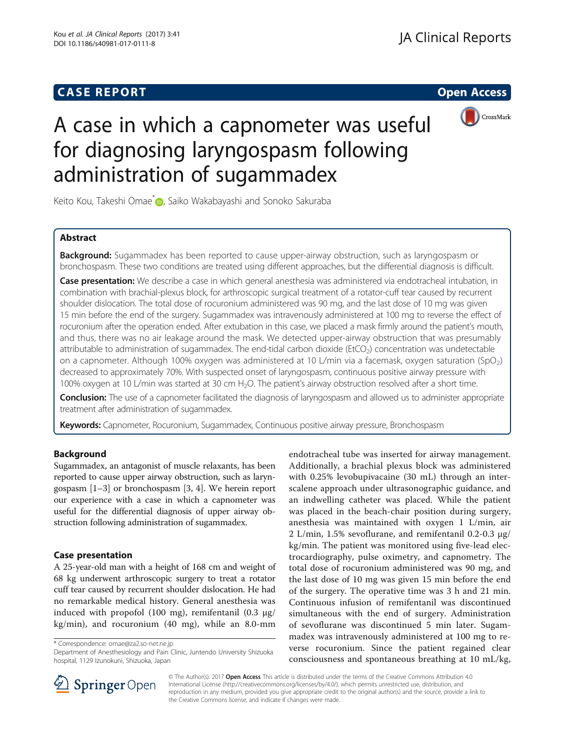## **CASE REPORT CASE REPORT CASE REPORT**



# A case in which a capnometer was useful for diagnosing laryngospasm following administration of sugammadex

Keito Kou, Takeshi Omae<sup>\*</sup> <sub>(D</sub>), Saiko Wakabayashi and Sonoko Sakuraba

## Abstract

**Background:** Sugammadex has been reported to cause upper-airway obstruction, such as laryngospasm or bronchospasm. These two conditions are treated using different approaches, but the differential diagnosis is difficult.

Case presentation: We describe a case in which general anesthesia was administered via endotracheal intubation, in combination with brachial-plexus block, for arthroscopic surgical treatment of a rotator-cuff tear caused by recurrent shoulder dislocation. The total dose of rocuronium administered was 90 mg, and the last dose of 10 mg was given 15 min before the end of the surgery. Sugammadex was intravenously administered at 100 mg to reverse the effect of rocuronium after the operation ended. After extubation in this case, we placed a mask firmly around the patient's mouth, and thus, there was no air leakage around the mask. We detected upper-airway obstruction that was presumably attributable to administration of sugammadex. The end-tidal carbon dioxide (EtCO<sub>2</sub>) concentration was undetectable on a capnometer. Although 100% oxygen was administered at 10 L/min via a facemask, oxygen saturation (SpO<sub>2</sub>) decreased to approximately 70%. With suspected onset of laryngospasm, continuous positive airway pressure with 100% oxygen at 10 L/min was started at 30 cm H<sub>2</sub>O. The patient's airway obstruction resolved after a short time.

Conclusion: The use of a capnometer facilitated the diagnosis of laryngospasm and allowed us to administer appropriate treatment after administration of sugammadex.

Keywords: Capnometer, Rocuronium, Sugammadex, Continuous positive airway pressure, Bronchospasm

## Background

Sugammadex, an antagonist of muscle relaxants, has been reported to cause upper airway obstruction, such as laryngospasm [[1](#page-2-0)–[3](#page-2-0)] or bronchospasm [\[3](#page-2-0), [4](#page-2-0)]. We herein report our experience with a case in which a capnometer was useful for the differential diagnosis of upper airway obstruction following administration of sugammadex.

## Case presentation

A 25-year-old man with a height of 168 cm and weight of 68 kg underwent arthroscopic surgery to treat a rotator cuff tear caused by recurrent shoulder dislocation. He had no remarkable medical history. General anesthesia was induced with propofol (100 mg), remifentanil (0.3 μg/ kg/min), and rocuronium (40 mg), while an 8.0-mm

\* Correspondence: [omae@za2.so-net.ne.jp](mailto:omae@za2.so-net.ne.jp)

Department of Anesthesiology and Pain Clinic, Juntendo University Shizuoka hospital, 1129 Izunokuni, Shizuoka, Japan

endotracheal tube was inserted for airway management. Additionally, a brachial plexus block was administered with 0.25% levobupivacaine (30 mL) through an interscalene approach under ultrasonographic guidance, and an indwelling catheter was placed. While the patient was placed in the beach-chair position during surgery, anesthesia was maintained with oxygen 1 L/min, air 2 L/min, 1.5% sevoflurane, and remifentanil 0.2-0.3 μg/ kg/min. The patient was monitored using five-lead electrocardiography, pulse oximetry, and capnometry. The total dose of rocuronium administered was 90 mg, and the last dose of 10 mg was given 15 min before the end of the surgery. The operative time was 3 h and 21 min. Continuous infusion of remifentanil was discontinued simultaneous with the end of surgery. Administration of sevoflurane was discontinued 5 min later. Sugammadex was intravenously administered at 100 mg to reverse rocuronium. Since the patient regained clear consciousness and spontaneous breathing at 10 mL/kg,



© The Author(s). 2017 Open Access This article is distributed under the terms of the Creative Commons Attribution 4.0 International License ([http://creativecommons.org/licenses/by/4.0/\)](http://creativecommons.org/licenses/by/4.0/), which permits unrestricted use, distribution, and reproduction in any medium, provided you give appropriate credit to the original author(s) and the source, provide a link to the Creative Commons license, and indicate if changes were made.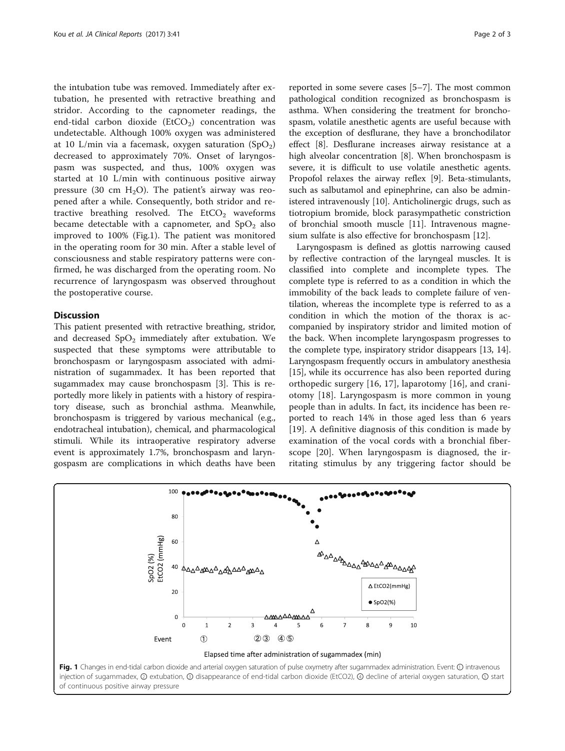the intubation tube was removed. Immediately after extubation, he presented with retractive breathing and stridor. According to the capnometer readings, the end-tidal carbon dioxide ( $EtCO<sub>2</sub>$ ) concentration was undetectable. Although 100% oxygen was administered at 10 L/min via a facemask, oxygen saturation  $(SpO<sub>2</sub>)$ decreased to approximately 70%. Onset of laryngospasm was suspected, and thus, 100% oxygen was started at 10 L/min with continuous positive airway pressure (30 cm  $H_2O$ ). The patient's airway was reopened after a while. Consequently, both stridor and retractive breathing resolved. The  $EtCO<sub>2</sub>$  waveforms became detectable with a capnometer, and  $SpO<sub>2</sub>$  also improved to 100% (Fig.1). The patient was monitored in the operating room for 30 min. After a stable level of consciousness and stable respiratory patterns were confirmed, he was discharged from the operating room. No recurrence of laryngospasm was observed throughout the postoperative course.

## **Discussion**

This patient presented with retractive breathing, stridor, and decreased  $SpO<sub>2</sub>$  immediately after extubation. We suspected that these symptoms were attributable to bronchospasm or laryngospasm associated with administration of sugammadex. It has been reported that sugammadex may cause bronchospasm [\[3](#page-2-0)]. This is reportedly more likely in patients with a history of respiratory disease, such as bronchial asthma. Meanwhile, bronchospasm is triggered by various mechanical (e.g., endotracheal intubation), chemical, and pharmacological stimuli. While its intraoperative respiratory adverse event is approximately 1.7%, bronchospasm and laryngospasm are complications in which deaths have been

reported in some severe cases [[5](#page-2-0)–[7\]](#page-2-0). The most common pathological condition recognized as bronchospasm is asthma. When considering the treatment for bronchospasm, volatile anesthetic agents are useful because with the exception of desflurane, they have a bronchodilator effect [[8\]](#page-2-0). Desflurane increases airway resistance at a high alveolar concentration [[8\]](#page-2-0). When bronchospasm is severe, it is difficult to use volatile anesthetic agents. Propofol relaxes the airway reflex [\[9](#page-2-0)]. Beta-stimulants, such as salbutamol and epinephrine, can also be administered intravenously [[10\]](#page-2-0). Anticholinergic drugs, such as tiotropium bromide, block parasympathetic constriction of bronchial smooth muscle [\[11](#page-2-0)]. Intravenous magnesium sulfate is also effective for bronchospasm [[12\]](#page-2-0).

Laryngospasm is defined as glottis narrowing caused by reflective contraction of the laryngeal muscles. It is classified into complete and incomplete types. The complete type is referred to as a condition in which the immobility of the back leads to complete failure of ventilation, whereas the incomplete type is referred to as a condition in which the motion of the thorax is accompanied by inspiratory stridor and limited motion of the back. When incomplete laryngospasm progresses to the complete type, inspiratory stridor disappears [[13](#page-2-0), [14](#page-2-0)]. Laryngospasm frequently occurs in ambulatory anesthesia [[15](#page-2-0)], while its occurrence has also been reported during orthopedic surgery [[16, 17](#page-2-0)], laparotomy [\[16](#page-2-0)], and craniotomy [[18\]](#page-2-0). Laryngospasm is more common in young people than in adults. In fact, its incidence has been reported to reach 14% in those aged less than 6 years [[19\]](#page-2-0). A definitive diagnosis of this condition is made by examination of the vocal cords with a bronchial fiberscope [[20\]](#page-2-0). When laryngospasm is diagnosed, the irritating stimulus by any triggering factor should be